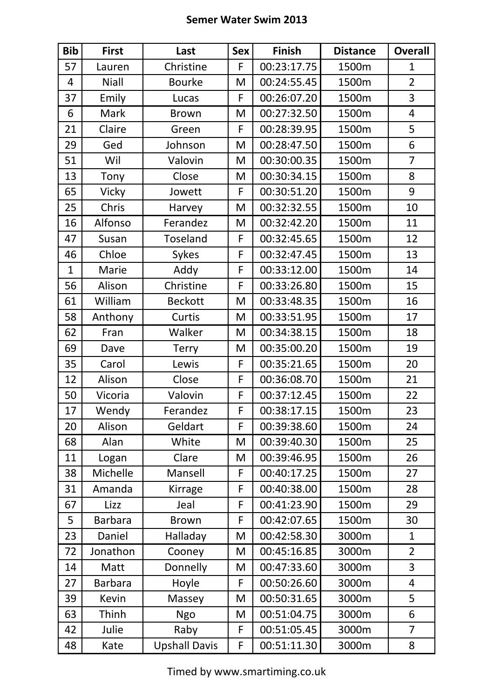## **Semer Water Swim 2013**

| <b>Bib</b>   | <b>First</b>   | Last                 | <b>Sex</b> | <b>Finish</b> | <b>Distance</b> | <b>Overall</b> |
|--------------|----------------|----------------------|------------|---------------|-----------------|----------------|
| 57           | Lauren         | Christine            | F          | 00:23:17.75   | 1500m           | 1              |
| 4            | <b>Niall</b>   | <b>Bourke</b>        | M          | 00:24:55.45   | 1500m           | $\overline{2}$ |
| 37           | Emily          | Lucas                | F          | 00:26:07.20   | 1500m           | 3              |
| 6            | <b>Mark</b>    | <b>Brown</b>         | M          | 00:27:32.50   | 1500m           | $\overline{4}$ |
| 21           | Claire         | Green                | F          | 00:28:39.95   | 1500m           | 5              |
| 29           | Ged            | Johnson              | M          | 00:28:47.50   | 1500m           | 6              |
| 51           | Wil            | Valovin              | M          | 00:30:00.35   | 1500m           | $\overline{7}$ |
| 13           | Tony           | Close                | M          | 00:30:34.15   | 1500m           | 8              |
| 65           | Vicky          | Jowett               | F          | 00:30:51.20   | 1500m           | 9              |
| 25           | Chris          | Harvey               | M          | 00:32:32.55   | 1500m           | 10             |
| 16           | Alfonso        | Ferandez             | M          | 00:32:42.20   | 1500m           | 11             |
| 47           | Susan          | <b>Toseland</b>      | F          | 00:32:45.65   | 1500m           | 12             |
| 46           | Chloe          | <b>Sykes</b>         | F          | 00:32:47.45   | 1500m           | 13             |
| $\mathbf{1}$ | Marie          | Addy                 | F          | 00:33:12.00   | 1500m           | 14             |
| 56           | Alison         | Christine            | F          | 00:33:26.80   | 1500m           | 15             |
| 61           | William        | <b>Beckott</b>       | M          | 00:33:48.35   | 1500m           | 16             |
| 58           | Anthony        | Curtis               | M          | 00:33:51.95   | 1500m           | 17             |
| 62           | Fran           | Walker               | M          | 00:34:38.15   | 1500m           | 18             |
| 69           | Dave           | <b>Terry</b>         | M          | 00:35:00.20   | 1500m           | 19             |
| 35           | Carol          | Lewis                | F          | 00:35:21.65   | 1500m           | 20             |
| 12           | Alison         | Close                | F          | 00:36:08.70   | 1500m           | 21             |
| 50           | Vicoria        | Valovin              | F          | 00:37:12.45   | 1500m           | 22             |
| 17           | Wendy          | Ferandez             | F          | 00:38:17.15   | 1500m           | 23             |
| 20           | Alison         | Geldart              | F          | 00:39:38.60   | 1500m           | 24             |
| 68           | Alan           | White                | M          | 00:39:40.30   | 1500m           | 25             |
| 11           | Logan          | Clare                | M          | 00:39:46.95   | 1500m           | 26             |
| 38           | Michelle       | Mansell              | F          | 00:40:17.25   | 1500m           | 27             |
| 31           | Amanda         | Kirrage              | F          | 00:40:38.00   | 1500m           | 28             |
| 67           | Lizz           | Jeal                 | F          | 00:41:23.90   | 1500m           | 29             |
| 5            | <b>Barbara</b> | <b>Brown</b>         | F          | 00:42:07.65   | 1500m           | 30             |
| 23           | Daniel         | Halladay             | M          | 00:42:58.30   | 3000m           | $\mathbf{1}$   |
| 72           | Jonathon       | Cooney               | M          | 00:45:16.85   | 3000m           | $\overline{2}$ |
| 14           | Matt           | Donnelly             | M          | 00:47:33.60   | 3000m           | 3              |
| 27           | <b>Barbara</b> | Hoyle                | F          | 00:50:26.60   | 3000m           | $\overline{4}$ |
| 39           | Kevin          | Massey               | M          | 00:50:31.65   | 3000m           | 5              |
| 63           | Thinh          | <b>Ngo</b>           | M          | 00:51:04.75   | 3000m           | 6              |
| 42           | Julie          | Raby                 | F          | 00:51:05.45   | 3000m           | $\overline{7}$ |
| 48           | Kate           | <b>Upshall Davis</b> | F          | 00:51:11.30   | 3000m           | 8              |